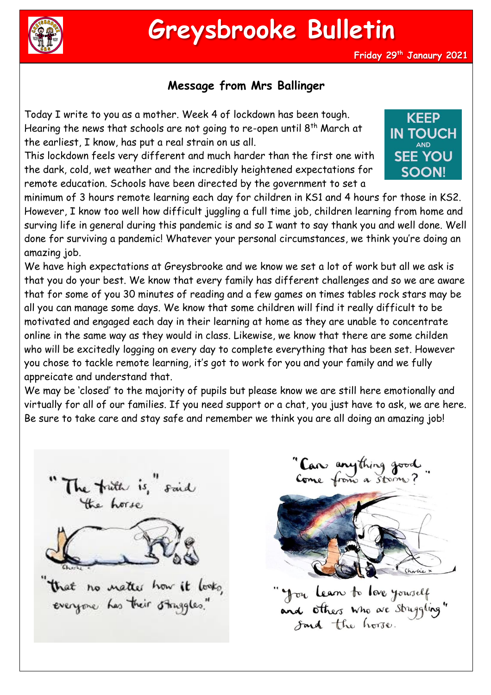

**Friday 29th Janaury 2021**

## **Message from Mrs Ballinger**

Today I write to you as a mother. Week 4 of lockdown has been tough. Hearing the news that schools are not going to re-open until 8<sup>th</sup> March at the earliest, I know, has put a real strain on us all.

This lockdown feels very different and much harder than the first one with the dark, cold, wet weather and the incredibly heightened expectations for remote education. Schools have been directed by the government to set a



minimum of 3 hours remote learning each day for children in KS1 and 4 hours for those in KS2. However, I know too well how difficult juggling a full time job, children learning from home and surving life in general during this pandemic is and so I want to say thank you and well done. Well done for surviving a pandemic! Whatever your personal circumstances, we think you're doing an amazing job.

We have high expectations at Greysbrooke and we know we set a lot of work but all we ask is that you do your best. We know that every family has different challenges and so we are aware that for some of you 30 minutes of reading and a few games on times tables rock stars may be all you can manage some days. We know that some children will find it really difficult to be motivated and engaged each day in their learning at home as they are unable to concentrate online in the same way as they would in class. Likewise, we know that there are some childen who will be excitedly logging on every day to complete everything that has been set. However you chose to tackle remote learning, it's got to work for you and your family and we fully appreicate and understand that.

We may be 'closed' to the majority of pupils but please know we are still here emotionally and virtually for all of our families. If you need support or a chat, you just have to ask, we are here. Be sure to take care and stay safe and remember we think you are all doing an amazing job!



"Care anything good



" you learn to love yourself"<br>and others who are struggling"<br>Soud the horse.